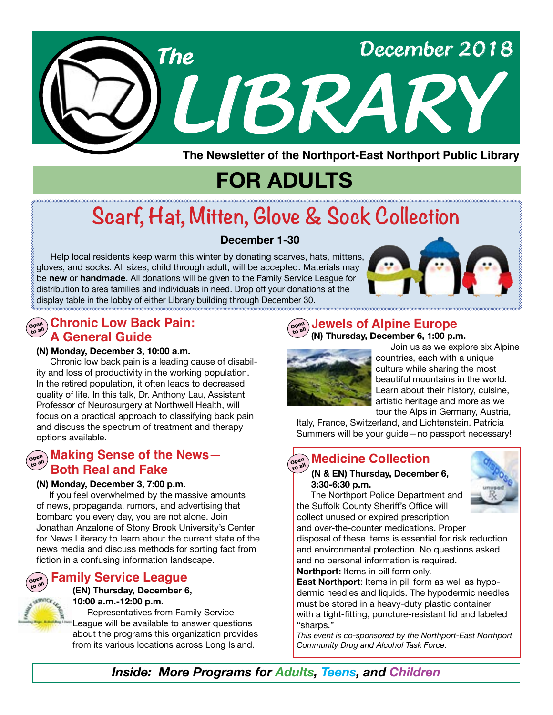

**The Newsletter of the Northport-East Northport Public Library**

# **FOR ADULTS**

# **Scarf, Hat, Mitten, Glove & Sock Collection**

### **December 1-30**

 Help local residents keep warm this winter by donating scarves, hats, mittens, gloves, and socks. All sizes, child through adult, will be accepted. Materials may be **new** or **handmade**. All donations will be given to the Family Service League for distribution to area families and individuals in need. Drop off your donations at the display table in the lobby of either Library building through December 30.



### $\widehat{\mathsf{O}}_{\mathsf{open}}^{\mathsf{open}}$  Chronic Low Back Pain: **A General Guide**

#### **(N) Monday, December 3, 10:00 a.m.**

 Chronic low back pain is a leading cause of disability and loss of productivity in the working population. In the retired population, it often leads to decreased quality of life. In this talk, Dr. Anthony Lau, Assistant Professor of Neurosurgery at Northwell Health, will focus on a practical approach to classifying back pain and discuss the spectrum of treatment and therapy options available.

### **Open to all Making Sense of the News— Both Real and Fake**

#### **(N) Monday, December 3, 7:00 p.m.**

 If you feel overwhelmed by the massive amounts of news, propaganda, rumors, and advertising that bombard you every day, you are not alone. Join Jonathan Anzalone of Stony Brook University's Center for News Literacy to learn about the current state of the news media and discuss methods for sorting fact from fiction in a confusing information landscape.

### **Family Service League**

#### **(EN) Thursday, December 6, 10:00 a.m.-12:00 p.m.**

Representatives from Family Service League will be available to answer questions about the programs this organization provides from its various locations across Long Island.

#### **Open to all Jewels of Alpine Europe ( N) Thursday, December 6, 1:00 p.m.**



Join us as we explore six Alpine countries, each with a unique culture while sharing the most beautiful mountains in the world. Learn about their history, cuisine, artistic heritage and more as we tour the Alps in Germany, Austria,

Italy, France, Switzerland, and Lichtenstein. Patricia Summers will be your guide—no passport necessary!

#### **Medicine Collection Open to all**

#### **(N & EN) Thursday, December 6, 3:30-6:30 p.m.**

 The Northport Police Department and the Suffolk County Sheriff's Office will collect unused or expired prescription and over-the-counter medications. Proper



disposal of these items is essential for risk reduction and environmental protection. No questions asked and no personal information is required.

**Northport:** Items in pill form only.

**East Northport**: Items in pill form as well as hypodermic needles and liquids. The hypodermic needles must be stored in a heavy-duty plastic container with a tight-fitting, puncture-resistant lid and labeled "sharps."

*This event is co-sponsored by the Northport-East Northport Community Drug and Alcohol Task Force*.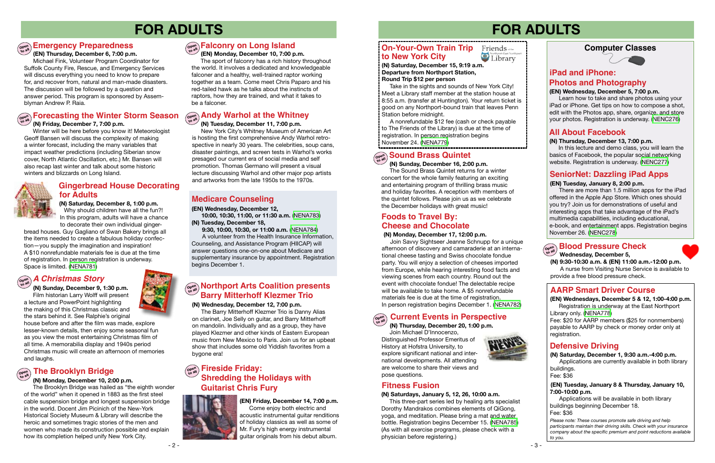### **Barry Mitterhoff Klezmer Trio Morthport Arts Coalition presents**

# **FOR ADULTS**

# **Emergency Preparedness**<br> **Example 2020**

#### **(N) Wednesday, December 12, 7:00 p.m.**

 The Barry Mitterhoff Klezmer Trio is Danny Alias on clarinet, Joe Selly on guitar, and Barry Mitterhoff on mandolin. Individually and as a group, they have played Klezmer and other kinds of Eastern European music from New Mexico to Paris. Join us for an upbeat show that includes some old Yiddish favorites from a bygone era!

#### **Computer Classes**



# **FOR ADULTS**

#### **(EN) Wednesday, December 5, 7:00 p.m.**

 Learn how to take and share photos using your iPad or iPhone. Get tips on how to compose a shot, edit with the Photos app, share, organize, and store your photos. Registration is underway. [\(NENC276\)](https://search.livebrary.com/record%3Dg1071123~S43)

### **All About Facebook**

#### **(N) Thursday, December 13, 7:00 p.m.**

In this lecture and demo class, you will learn the basics of Facebook, the popular social networking website. Registration is underway. [\(NENC277\)](https://search.livebrary.com/record%3Dg1056544~S43)

### **SeniorNet: Dazzling iPad Apps**

#### **(EN) Tuesday, January 8, 2:00 p.m.**

# **Open to all Andy Warhol at the Whitney**

There are more than 1.5 million apps for the iPad offered in the Apple App Store. Which ones should you try? Join us for demonstrations of useful and interesting apps that take advantage of the iPad's multimedia capabilities, including educational, e-book, and entertainment apps. Registration begins November 26. [\(NENC278\)](https://search.livebrary.com/record%3Dg1076585~S43)

 **(N) Tuesday, December 11, 7:00 p.m.**  New York City's Whitney Museum of American Art is hosting the first comprehensive Andy Warhol retrospective in nearly 30 years. The celebrities, soup cans, disaster paintings, and screen tests in Warhol's works presaged our current era of social media and self promotion. Thomas Germano will present a visual lecture discussing Warhol and other major pop artists and artworks from the late 1950s to the 1970s.

# **Open to all Falconry on Long Island**

# **Open to all** *A Christmas Story*

 **(N) Sunday, December 9, 1:30 p.m.** Film historian Larry Wolff will present a lecture and PowerPoint highlighting the making of this Christmas classic and the stars behind it. See Ralphie's original

house before and after the film was made, explore lesser-known details, then enjoy some seasonal fun as you view the most entertaining Christmas film of all time. A memorabilia display and 1940s period Christmas music will create an afternoon of memories and laughs.

# $\left(\begin{smallmatrix} \mathsf{open}\ \mathsf{on} \mathsf{on} \end{smallmatrix}\right)$  The Brooklyn Bridge

# **(EN) Monday, December 10, 7:00 p.m.**

# **Open to all Blood Pressure Check**

 The sport of falconry has a rich history throughout the world. It involves a dedicated and knowledgeable falconer and a healthy, well-trained raptor working together as a team. Come meet Chris Paparo and his red-tailed hawk as he talks about the instincts of raptors, how they are trained, and what it takes to be a falconer.

#### **Open to all Forecasting the Winter Storm Season (N) Friday, December 7, 7:00 p.m.**

 Winter will be here before you know it! Meteorologist Geoff Bansen will discuss the complexity of making a winter forecast, including the many variables that impact weather predictions (including Siberian snow cover, North Atlantic Oscillation, etc.) Mr. Bansen will also recap last winter and talk about some historic winters and blizzards on Long Island.

 **(EN) Thursday, December 6, 7:00 p.m.**

Take in the sights and sounds of New York City! Meet a Library staff member at the station house at 8:55 a.m. (transfer at Huntington). Your return ticket is good on any Northport-bound train that leaves Penn Station before midnight.

# $\left(\begin{array}{c}\n\text{open} \\
\text{total}\n\end{array}\right)$  **Fireside Friday: Guitarist Chris Fury Shredding the Holidays with**

Michael Fink, Volunteer Program Coordinator for Suffolk County Fire, Rescue, and Emergency Services will discuss everything you need to know to prepare for, and recover from, natural and man-made disasters. The discussion will be followed by a question and answer period. This program is sponsored by Assemblyman Andrew P. Raia.

#### **(N) Monday, December 10, 2:00 p.m.**

 The Brooklyn Bridge was hailed as "the eighth wonder of the world" when it opened in 1883 as the first steel cable suspension bridge and longest suspension bridge in the world. Docent Jim Picinich of the New-York Historical Society Museum & Library will describe the heroic and sometimes tragic stories of the men and women who made its construction possible and explain how its completion helped unify New York City.

# **Defensive Driving**

### **AARP Smart Driver Course**

 **(EN) Tuesday, January 8 & Thursday, January 10, 7:00-10:00 p.m.** 

Applications will be available in both library buildings beginning December 18. Fee: \$36

# **iPad and iPhone: Photos and Photography**

 **(EN) Wednesdays, December 5 & 12, 1:00-4:00 p.m.** Registration is underway at the East Northport Library only. [\(NENA778\)](https://search.livebrary.com/record%3Dg1086229~S43)

Fee: \$20 for AARP members (\$25 for nonmembers) payable to AARP by check or money order only at registration.

**(N) Saturday, December 1, 9:30 a.m.-4:00 p.m.** Applications are currently available in both library buildings.

Fee: \$36

 **Wednesday, December 5,**

**(N) 9:30-10:30 a.m. & (EN) 11:00 a.m.-12:00 p.m.**  A nurse from Visiting Nurse Service is available to provide a free blood pressure check.

**(EN) Wednesday, December 12,**

 **10:00, 10:30, 11:00, or 11:30 a.m.** ([NENA783\)](https://search.livebrary.com/record%3Dg1086935~S43) **(N) Tuesday, December 18,**

 **9:30, 10:00, 10:30, or 11:00 a.m.** [\(NENA784\)](https://search.livebrary.com/record%3Dg1086936~S43)

A volunteer from the Health Insurance Information, Counseling, and Assistance Program (HIICAP) will answer questions one-on-one about Medicare and supplementary insurance by appointment. Registration begins December 1.

# **Medicare Counseling (N) Saturday, December 8, 1:00 p.m.**

Why should children have all the fun?! In this program, adults will have a chance to decorate their own individual ginger-

bread houses. Guy Gagliano of Swan Bakery brings all the items needed to create a fabulous holiday confection—you supply the imagination and inspiration! A \$10 nonrefundable materials fee is due at the time of registration. In person registration is underway. Space is limited. [\(NENA781\)](https://search.livebrary.com/record%3Dg1086275~S43)

### **Gingerbread House Decorating for Adults**

**(EN) Friday, December 14, 7:00 p.m.** Come enjoy both electric and acoustic instrumental guitar renditions of holiday classics as well as some of Mr. Fury's high energy instrumental guitar originals from his debut album.

#### **(N) Sunday, December 16, 2:00 p.m.**

 The Sound Brass Quintet returns for a winter concert for the whole family featuring an exciting and entertaining program of thrilling brass music and holiday favorites. A reception with members of the quintet follows. Please join us as we celebrate the December holidays with great music!

**(N) Saturday, December 15, 9:19 a.m. Departure from Northport Station, Round Trip \$12 per person**

A nonrefundable \$12 fee (cash or check payable to The Friends of the Library) is due at the time of registration. In person registration begins November 24. [\(NENA779\)](https://search.livebrary.com/record%3Dg1086292~S43)

# $\left(\begin{smallmatrix} \mathsf{open}\ \mathsf{on} \mathsf{non} \end{smallmatrix}\right)$  Sound Brass Quintet

#### **On-Your-Own Train Trip** Friends of the Library **to New York City**

#### **(N) Monday, December 17, 12:00 p.m.**

# **Foods to Travel By: Cheese and Chocolate**

 Join Savvy Sightseer Jeanne Schnupp for a unique afternoon of discovery and camaraderie at an international cheese tasting and Swiss chocolate fondue party. You will enjoy a selection of cheeses imported from Europe, while hearing interesting food facts and viewing scenes from each country. Round out the event with chocolate fondue! The delectable recipe will be available to take home. A \$5 nonrefundable materials fee is due at the time of registration. In person registration begins December 1. [\(NENA782](https://search.livebrary.com/record%3Dg1086898~S43))

 **(N) Thursday, December 20, 1:00 p.m.** 

#### **Open to all Current Events in Perspective**

Join Michael D'Innocenzo, Distinguished Professor Emeritus of History at Hofstra University, to explore significant national and international developments. All attending are welcome to share their views and pose questions.



#### **(N) Saturdays, January 5, 12, 26, 10:00 a.m.**

This three-part series led by healing arts specialist Dorothy Mandrakos combines elements of QiGong, yoga, and meditation. Please bring a mat and water bottle. Registration begins December 15. [\(NENA785](https://search.livebrary.com/record%3Dg1086943~S43)) (As with all exercise programs, please check with a physician before registering.)



### **Fitness Fusion**

*Please note: These courses promote safe driving and help participants maintain their driving skills. Check with your insurance company about the specific premium and point reductions available to you.*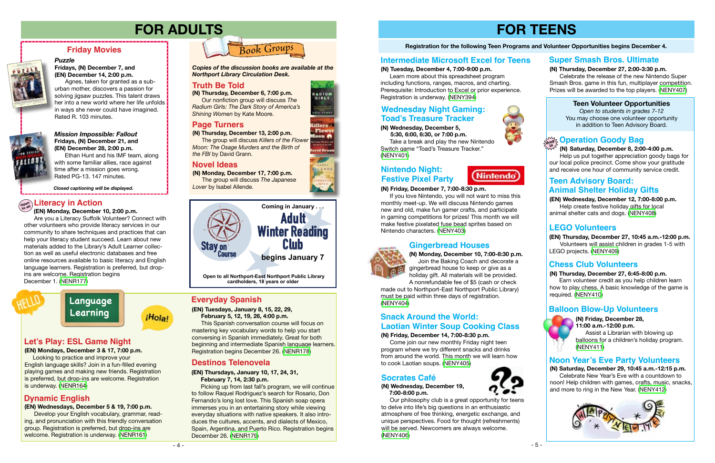# **FOR TEENS**

#### **Registration for the following Teen Programs and Volunteer Opportunities begins December 4.**

#### **(N) Friday, December 14, 7:00-8:30 p.m.**

 Come join our new monthly Friday night teen program where we try different snacks and drinks from around the world. This month we will learn how to cook Laotian soups. ([NENY405\)](https://search.livebrary.com/record%3Dg1086360~S43)

#### **Teen Volunteer Opportunities**

*Open to students in grades 7-12* You may choose one volunteer opportunity in addition to Teen Advisory Board.

¡Hola!





Agnes, taken for granted as a suburban mother, discovers a passion for solving jigsaw puzzles. This talent draws her into a new world where her life unfolds in ways she never could have imagined. Rated R. 103 minutes.



#### *Mission Impossible: Fallout* **Fridays, (N) December 21, and (EN) December 28, 2:00 p.m.**

Ethan Hunt and his IMF team, along with some familiar allies, race against time after a mission goes wrong. Rated PG-13. 147 minutes.

### **Friday Movies**

### *Puzzle*

**Fridays, (N) December 7, and (EN) December 14, 2:00 p.m.** 

*Closed captioning will be displayed.*

# **FOR ADULTS**

**(N) Thursday, December 6, 7:00 p.m.** Our nonfiction group will discuss *The Radium Girls: The Dark Story of America's Shining Women* by Kate Moore.



**(N) Monday, December 17, 7:00 p.m.** The group will discuss *The Japanese Lover* by Isabel Allende.

# **Truth Be Told Truth Be Told**

**(N) Thursday, December 13, 2:00 p.m.** The group will discuss *Killers of the Flower Moon: The Osage Murders and the Birth of the FBI* by David Grann.

*Copies of the discussion books are available at the Northport Library Circulation Desk.* 

# . **Novel Ideas**

**(EN) Wednesday, December 12, 7:00-8:00 p.m.** Help create festive holiday gifts for local animal shelter cats and dogs. [\(NENY408](https://search.livebrary.com/record%3Dg1086434~S43))

**(N) Thursday, December 27, 6:45-8:00 p.m.** Earn volunteer credit as you help children learn

how to play chess. A basic knowledge of the game is required. ([NENY410](https://search.livebrary.com/record%3Dg1086438~S43))

### **Chess Club Volunteers**

# **Teen Advisory Board: Animal Shelter Holiday Gifts**

 Help us put together appreciation goody bags for our local police precinct. Come show your gratitude and receive one hour of community service credit.

Develop your English vocabulary, grammar, reading, and pronunciation with this friendly conversation group. Registration is preferred, but drop-ins are welcome. Registration is underway. [\(NENR161](https://search.livebrary.com/record%3Dg1086372~S43))

# **Open to all Literacy in Action**

 **(EN) Monday, December 10, 2:00 p.m.**

 Are you a Literacy Suffolk Volunteer? Connect with other volunteers who provide literacy services in our community to share techniques and practices that can help your literacy student succeed. Learn about new materials added to the Library's Adult Learner collection as well as useful electronic databases and free online resources available to basic literacy and English language learners. Registration is preferred, but dropins are welcome. Registration begins December 1. ([NENR177\)](https://search.livebrary.com/record%3Dg1076560~S43)

#### **(N) Thursday, December 27, 2:00-3:30 p.m.**

### **(N) Saturday, December 8, 2:00-4:00 p.m. Operation Goody Bag drop in**

#### **Intermediate Microsoft Excel for Teens Super Smash Bros. Ultimate**

 Celebrate the release of the new Nintendo Super Smash Bros. game in this fun, multiplayer competition. Prizes will be awarded to the top players. ([NENY407\)](https://search.livebrary.com/record%3Dg1086364~S43)

#### **(N) Wednesday, December 19, 7:00-8:00 p.m.**



# **Snack Around the World: Laotian Winter Soup Cooking Class**

 Our philosophy club is a great opportunity for teens to delve into life's big questions in an enthusiastic atmosphere of free thinking, energetic exchange, and unique perspectives. Food for thought (refreshments) will be served. Newcomers are always welcome. [\(NENY406\)](https://search.livebrary.com/record%3Dg1086362~S43)

### **Socrates Café**

**(N) Monday, December 10, 7:00-8:30 p.m.** Join the Baking Coach and decorate a gingerbread house to keep or give as a holiday gift. All materials will be provided.

A nonrefundable fee of \$5 (cash or check made out to Northport-East Northport Public Library) must be paid within three days of registration.



([NENY404](https://search.livebrary.com/record%3Dg1086355~S43))

### **Gingerbread Houses**



**(EN) Thursday, December 27, 10:45 a.m.-12:00 p.m.** Volunteers will assist children in grades 1-5 with LEGO projects. [\(NENY409\)](https://search.livebrary.com/record%3Dg1086437~S43)

## **LEGO Volunteers**

**(N) Friday, December 28, 11:00 a.m.-12:00 p.m.**

 Assist a Librarian with blowing up balloons for a children's holiday program. [\(NENY411](https://search.livebrary.com/record%3Dg1086603~S43))

### **Balloon Blow-Up Volunteers**

**(N) Saturday, December 29, 10:45 a.m.-12:15 p.m.** Celebrate New Year's Eve with a countdown to noon! Help children with games, crafts, music, snacks, and more to ring in the New Year. ([NENY412\)](https://search.livebrary.com/record%3Dg1086611~S43)



### **Noon Year's Eve Party Volunteers**

#### **(EN) Mondays, December 3 & 17, 7:00 p.m.**

Looking to practice and improve your English language skills? Join in a fun-filled evening playing games and making new friends. Registration is preferred, but drop-ins are welcome. Registration is underway. [\(NENR164](https://search.livebrary.com/record%3Dg1086367~S43))

# **Let's Play: ESL Game Night**

#### **(EN) Wednesdays, December 5 & 19, 7:00 p.m.**

# **Dynamic English**

**(EN) Tuesdays, January 8, 15, 22, 29, February 5, 12, 19, 26, 4:00 p.m.**

This Spanish conversation course will focus on mastering key vocabulary words to help you start conversing in Spanish immediately. Great for both beginning and intermediate Spanish language learners.

Registration begins December 26. ([NENR178\)](https://search.livebrary.com/record%3Dg1087126~S43)

### **Everyday Spanish**

#### **(EN) Thursdays, January 10, 17, 24, 31, February 7, 14, 2:30 p.m.**

Picking up from last fall's program, we will continue to follow Raquel Rodriguez's search for Rosario, Don Fernando's long lost love. This Spanish soap opera immerses you in an entertaining story while viewing everyday situations with native speakers. It also introduces the cultures, accents, and dialects of Mexico, Spain, Argentina, and Puerto Rico. Registration begins December 26. [\(NENR179](https://search.livebrary.com/record%3Dg1087122~S43))







### **Destinos Telenovela**

 **(N) Tuesday, December 4, 7:00-9:00 p.m.**

 Learn more about this spreadsheet program including functions, ranges, macros, and charting. Prerequisite: Introduction to Excel or prior experience.

Registration is underway. [\(NENY394\)](https://search.livebrary.com/record%3Dg1085788~S43)

#### **(N) Friday, December 7, 7:00-8:30 p.m.**

 If you love Nintendo, you will not want to miss this monthly meet-up. We will discuss Nintendo games new and old, make fun gamer crafts, and participate in gaming competitions for prizes! This month we will make festive pixelated fuse bead sprites based on Nintendo characters. ([NENY403\)](https://search.livebrary.com/record%3Dg1086353~S43)

# **Nintendo Night: Festive Pixel Party**





**Language Learning**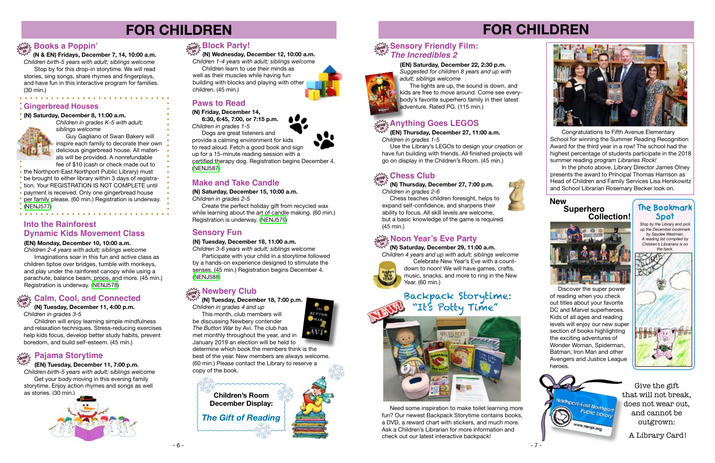



# **FOR CHILDREN**

 **(N & EN) Fridays, December 7, 14, 10:00 a.m.** *Children birth-5 years with adult; siblings welcome* Stop by for this drop-in storytime. We will read stories, sing songs, share rhymes and fingerplays, and have fun in this interactive program for families. (30 min.)

# **drop in Books a Poppin'**

This month, club members will be discussing Newbery contender *The Button War* by Avi. The club has met monthly throughout the year, and in January 2019 an election will be held to



# **FOR CHILDREN**



# **drop in Newbery Club**

 **(N) Tuesday, December 18, 7:00 p.m.**

*Children in grades 4 and up*

determine which book the members think is the best of the year. New members are always welcome. (60 min.) Please contact the Library to reserve a copy of the book.

Participate with your child in a storytime followed by a hands-on experience designed to stimulate the senses. (45 min.) Registration begins December 4. [\(NENJ588\)](https://search.livebrary.com/record%3Dg1086806~S43)

 **(N) Wednesday, December 12, 10:00 a.m.** *Children 1-4 years with adult; siblings welcome*

 Children learn to use their minds as well as their muscles while having fun building with blocks and playing with other children. (45 min.)

> In the photo above, Library Director James Olney presents the award to Principal Thomas Harrison as Head of Children and Family Services Lisa Herskowitz and School Librarian Rosemary Becker look on.

# **drop in Block Party!**

*Stop by the Library and pick up the December bookmark by Saydee Westman. A reading list compiled by Children's Librarians is on the back.*



# **The Bookmark Spot**

#### **(N) Tuesday, December 18, 11:00 a.m.**

*Children 3-6 years with adult; siblings welcome*

### **Sensory Fun**



 Congratulations to Fifth Avenue Elementary School for winning the Summer Reading Recognition Award for the third year in a row! The school had the highest percentage of students participate in the 2018 summer reading program *Libraries Rock!*

#### **Gingerbread Houses**

#### **(N) Saturday, December 8, 11:00 a.m.**



*siblings welcome* Guy Gagliano of Swan Bakery will inspire each family to decorate their own delicious gingerbread house. All materials will be provided. A nonrefundable

fee of \$10 (cash or check made out to the Northport-East Northport Public Library) must be brought to either library within 3 days of registration. Your REGISTRATION IS NOT COMPLETE until payment is received. Only one gingerbread house per family please. (60 min.) Registration is underway. [\(NENJ577\)](https://search.livebrary.com/record%3Dg1085731~S43)

# **Noon Year's Eve Party drop**

 **(N) Saturday, December 29, 11:00 a.m.** *Children 4 years and up with adult; siblings welcome* **in**



Celebrate New Year's Eve with a countdown to noon! We will have games, crafts, music, snacks, and more to ring in the New Year. (60 min.)

#### **(EN) Monday, December 10, 10:00 a.m.**

### **Into the Rainforest Dynamic Kids Movement Class**

*Children 2-4 years with adult; siblings welcome* Imaginations soar in this fun and active class as children tiptoe over bridges, tumble with monkeys, and play under the rainforest canopy while using a parachute, balance beam, props, and more. (45 min.) Registration is underway. ([NENJ578](https://search.livebrary.com/record%3Dg1085698~S43))

#### **drop in Calm, Cool, and Connected**

#### **(N) Tuesday, December 11, 4:00 p.m.** *Children in grades 3-5*

 Children will enjoy learning simple mindfulness and relaxation techniques. Stress-reducing exercises help kids focus, develop better study habits, prevent boredom, and build self-esteem. (45 min.)

#### **(EN) Tuesday, December 11, 7:00 p.m.**

# **Pajama Storytime drop in**

*Children birth-5 years with adult; siblings welcome* Get your body moving in this evening family storytime. Enjoy action rhymes and songs as well as stories. (30 min.)



# **Make and Take Candle**

**(N) Saturday, December 15, 10:00 a.m.**

*Children in grades 2-5*

 Create the perfect holiday gift from recycled wax while learning about the art of candle making. (60 min.) Registration is underway. ([NENJ579](https://search.livebrary.com/record%3Dg1085732~S43))

### **Paws to Read**

#### **(N) Friday, December 14,**

 **6:30, 6:45, 7:00, or 7:15 p.m.** *Children in grades 1-5*

 Dogs are great listeners and provide a calming environment for kids to read aloud. Fetch a good book and sign up for a 15-minute reading session with a certified therapy dog. Registration begins December 4. ([NENJ587](https://search.livebrary.com/record%3Dg1085733~S43))

# **(EN) Saturday, December 22, 2:30 p.m.**

*Suggested for children 8 years and up with adult; siblings welcome*



 **(EN) Thursday, December 27, 11:00 a.m.** *Children in grades 1-5*

 Use the Library's LEGOs to design your creation or have fun building with friends. All finished projects will go on display in the Children's Room. (45 min.)

# **drop in Anything Goes LEGOS**

 **(N) Thursday, December 27, 7:00 p.m.** *Children in grades 2-6*

#### **Chess Club drop in**

 Chess teaches children foresight, helps to expand self-confidence, and sharpens their ability to focus. All skill levels are welcome, but a basic knowledge of the game is required. (45 min.)

# Backpack Storytime: "It's Potty Time"



 Need some inspiration to make toilet learning more fun? Our newest Backpack Storytime contains books, a DVD, a reward chart with stickers, and much more. Ask a Children's Librarian for more information and check out our latest interactive backpack!





Give the gift that will not break, does not wear out, and cannot be outgrown:

A Library Card!

 Discover the super power of reading when you check out titles about your favorite DC and Marvel superheroes. Kids of all ages and reading levels will enjoy our new super section of books highlighting the exciting adventures of Wonder Woman, Spiderman, Batman, Iron Man and other Avengers and Justice League heroes.

### **Superhero New Collection!**